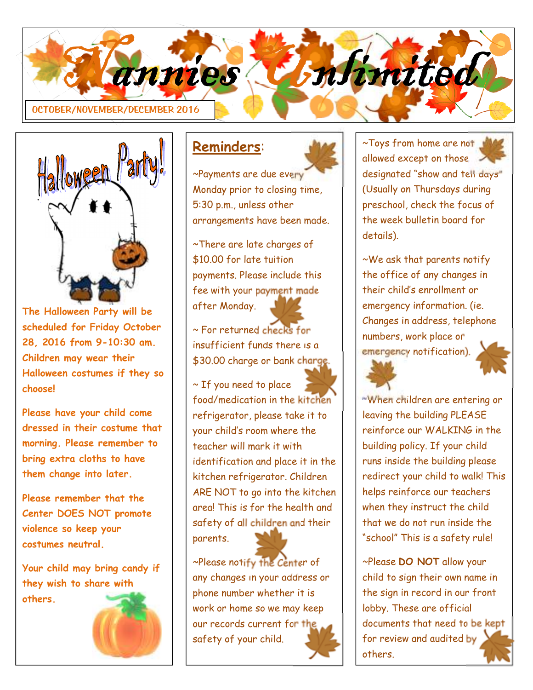



**The Halloween Party will be scheduled for Friday October 28, 2016 from 9-10:30 am. Children may wear their Halloween costumes if they so choose!** 

**Please have your child come dressed in their costume that morning. Please remember to bring extra cloths to have them change into later.** 

**Please remember that the Center DOES NOT promote violence so keep your costumes neutral.** 

**Your child may bring candy if they wish to share with others.** 



### **Reminders**:

~Payments are due every Monday prior to closing time, 5:30 p.m., unless other arrangements have been made.

~There are late charges of \$10.00 for late tuition payments. Please include this fee with your payment made after Monday.

~ For returned checks for insufficient funds there is a \$30.00 charge or bank charge.

~ If you need to place food/medication in the kitchen refrigerator, please take it to your child's room where the teacher will mark it with identification and place it in the kitchen refrigerator. Children ARE NOT to go into the kitchen area! This is for the health and safety of all children and their parents.

~Please notify the Center of any changes in your address or phone number whether it is work or home so we may keep our records current for the safety of your child.

~Toys from home are not allowed except on those designated "show and tell days" (Usually on Thursdays during preschool, check the focus of the week bulletin board for details).

~We ask that parents notify the office of any changes in their child's enrollment or emergency information. (ie. Changes in address, telephone numbers, work place or emergency notification).



**~**When children are entering or leaving the building PLEASE reinforce our WALKING in the building policy. If your child runs inside the building please redirect your child to walk! This helps reinforce our teachers when they instruct the child that we do not run inside the "school" This is a safety rule!

~Please **DO NOT** allow your child to sign their own name in the sign in record in our front lobby. These are official documents that need to be kept for review and audited by others.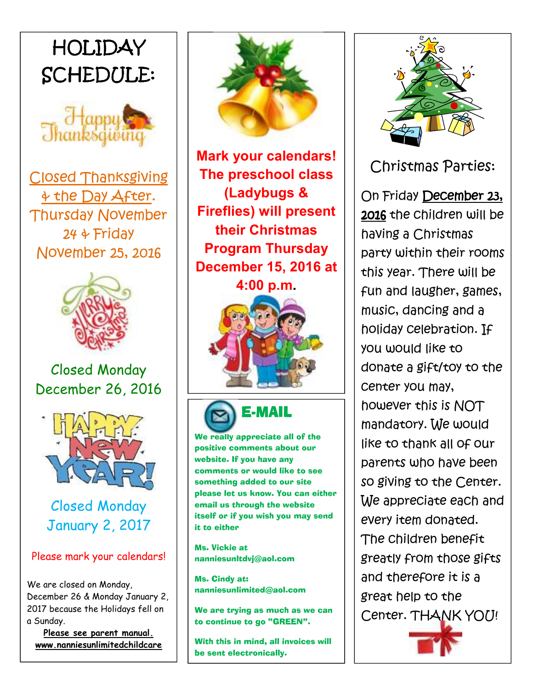# *HOLIDAY SCHEDULE:*



*Closed Thanksgiving & the Day After. Thursday November 24 & Friday November 25, 2016* 



### Closed Monday December 26, 2016



Closed Monday January 2, 2017

#### Please mark your calendars!

We are closed on Monday, December 26 & Monday January 2, 2017 because the Holidays fell on a Sunday.

**Please see parent manual. www.nanniesunlimitedchildcare**



**Mark your calendars! The preschool class (Ladybugs & Fireflies) will present their Christmas Program Thursday December 15, 2016 at** 

**4:00 p.m.**





#### We really appreciate all of the positive comments about our website. If you have any comments or would like to see something added to our site

please let us know. You can either email us through the website itself or if you wish you may send it to either

Ms. Vickie at nanniesunltdvj@aol.com

Ms. Cindy at: nanniesunlimited@aol.com

We are trying as much as we can to continue to go "GREEN".

With this in mind, all invoices will be sent electronically.



*Christmas Parties:* 

*On Friday December 23, 2016 the children will be having a Christmas party within their rooms this year. There will be fun and laugher, games, music, dancing and a holiday celebration. If you would like to donate a gift/toy to the center you may, however this is NOT mandatory. We would like to thank all of our parents who have been so giving to the Center. We appreciate each and every item donated. The children benefit greatly from those gifts and therefore it is a great help to the Center. THANK YOU!* 

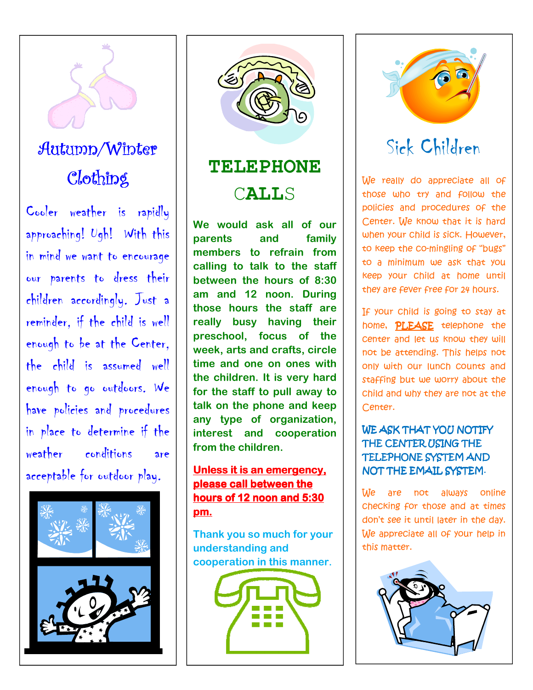

## Autumn/Winter Clothing

Cooler weather is rapidly approaching! Ugh! With this in mind we want to encourage our parents to dress their children accordingly. Just a reminder, if the child is well enough to be at the Center, the child is assumed well enough to go outdoors. We have policies and procedures in place to determine if the weather conditions are acceptable for outdoor play.





## **TELEPHONE**  C**ALL**S

**We would ask all of our parents and family members to refrain from calling to talk to the staff between the hours of 8:30 am and 12 noon. During those hours the staff are really busy having their preschool, focus of the week, arts and crafts, circle time and one on ones with the children. It is very hard for the staff to pull away to talk on the phone and keep any type of organization, interest and cooperation from the children.** 

#### **Unless it is an emergency, please call between the hours of 12 noon and 5:30 pm.**

**Thank you so much for your understanding and cooperation in this manner.** 





## Sick Children

*We really do appreciate all of those who try and follow the policies and procedures of the Center. We know that it is hard when your child is sick. However, to keep the co-mingling of "bugs" to a minimum we ask that you keep your child at home until they are fever free for 24 hours.* 

*If your child is going to stay at home, PLEASE telephone the center and let us know they will not be attending. This helps not only with our lunch counts and staffing but we worry about the child and why they are not at the Center.* 

#### *WE ASK THAT YOU NOTIFY THE CENTER USING THE TELEPHONE SYSTEM AND NOT THE EMAIL SYSTEM.*

*We are not always online checking for those and at times don't see it until later in the day. We appreciate all of your help in this matter.* 

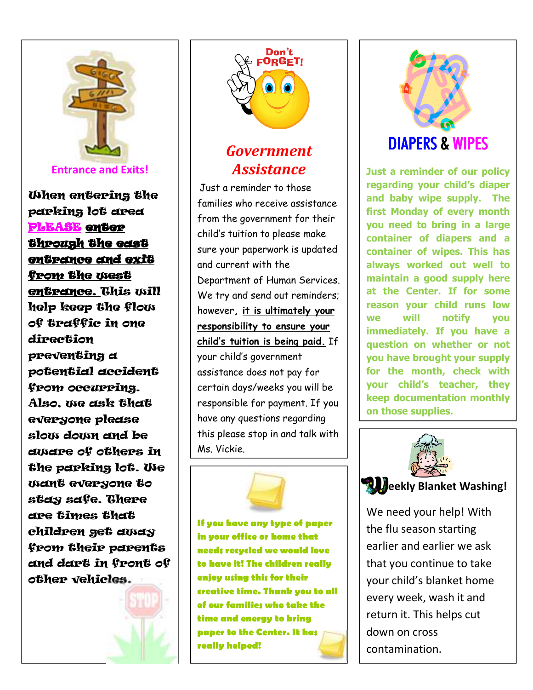

**Entrance and Exits!**

When entering the parking lot area PLEASE enter through the east entrance and exit from the west entrance. This will help keep the flow of traffic in one direction preventing a potential accident from occurring. Also, we ask that everyone please slow down and be aware of others in the parking lot. We want everyone to stay safe. There are times that children get away from their parents and dart in front of other vehicles.





### *Government Assistance*

Just a reminder to those families who receive assistance from the government for their child's tuition to please make sure your paperwork is updated and current with the Department of Human Services. We try and send out reminders; however**, it is ultimately your responsibility to ensure your child's tuition is being paid.** If your child's government assistance does not pay for certain days/weeks you will be responsible for payment. If you have any questions regarding this please stop in and talk with Ms. Vickie.



**If you have any type of paper in your office or home that needs recycled we would love to have it! The children really enjoy using this for their creative time. Thank you to all of our families who take the time and energy to bring paper to the Center. It has really helped!** 



**Just a reminder of our policy regarding your child's diaper and baby wipe supply. The first Monday of every month you need to bring in a large container of diapers and a container of wipes. This has always worked out well to maintain a good supply here at the Center. If for some reason your child runs low we will notify you immediately. If you have a question on whether or not you have brought your supply for the month, check with your child's teacher, they keep documentation monthly on those supplies.**



**Weekly Blanket Washing!** 

We need your help! With the flu season starting earlier and earlier we ask that you continue to take your child's blanket home every week, wash it and return it. This helps cut down on cross contamination.